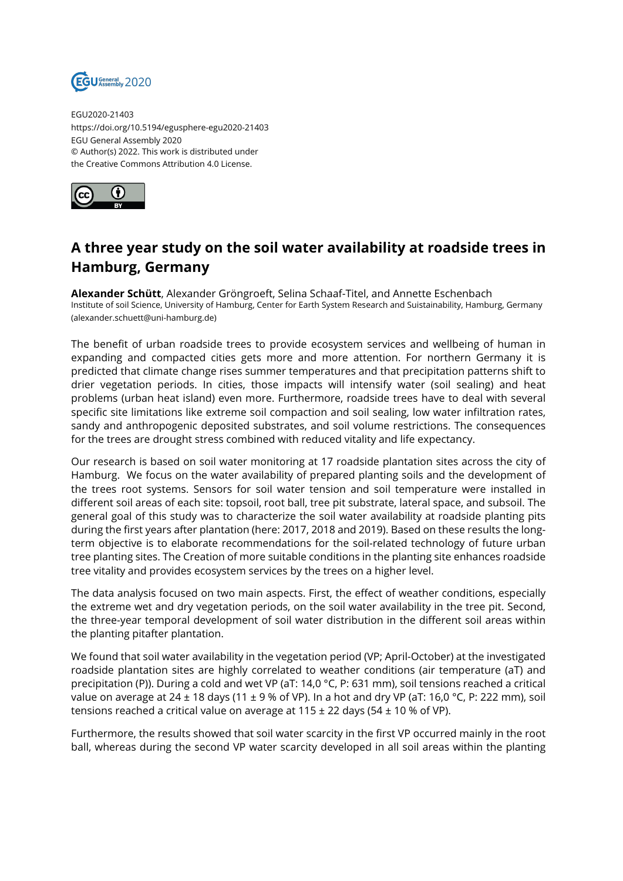

EGU2020-21403 https://doi.org/10.5194/egusphere-egu2020-21403 EGU General Assembly 2020 © Author(s) 2022. This work is distributed under the Creative Commons Attribution 4.0 License.



## **A three year study on the soil water availability at roadside trees in Hamburg, Germany**

**Alexander Schütt**, Alexander Gröngroeft, Selina Schaaf-Titel, and Annette Eschenbach Institute of soil Science, University of Hamburg, Center for Earth System Research and Suistainability, Hamburg, Germany (alexander.schuett@uni-hamburg.de)

The benefit of urban roadside trees to provide ecosystem services and wellbeing of human in expanding and compacted cities gets more and more attention. For northern Germany it is predicted that climate change rises summer temperatures and that precipitation patterns shift to drier vegetation periods. In cities, those impacts will intensify water (soil sealing) and heat problems (urban heat island) even more. Furthermore, roadside trees have to deal with several specific site limitations like extreme soil compaction and soil sealing, low water infiltration rates, sandy and anthropogenic deposited substrates, and soil volume restrictions. The consequences for the trees are drought stress combined with reduced vitality and life expectancy.

Our research is based on soil water monitoring at 17 roadside plantation sites across the city of Hamburg. We focus on the water availability of prepared planting soils and the development of the trees root systems. Sensors for soil water tension and soil temperature were installed in different soil areas of each site: topsoil, root ball, tree pit substrate, lateral space, and subsoil. The general goal of this study was to characterize the soil water availability at roadside planting pits during the first years after plantation (here: 2017, 2018 and 2019). Based on these results the longterm objective is to elaborate recommendations for the soil-related technology of future urban tree planting sites. The Creation of more suitable conditions in the planting site enhances roadside tree vitality and provides ecosystem services by the trees on a higher level.

The data analysis focused on two main aspects. First, the effect of weather conditions, especially the extreme wet and dry vegetation periods, on the soil water availability in the tree pit. Second, the three-year temporal development of soil water distribution in the different soil areas within the planting pitafter plantation.

We found that soil water availability in the vegetation period (VP; April-October) at the investigated roadside plantation sites are highly correlated to weather conditions (air temperature (aT) and precipitation (P)). During a cold and wet VP (aT: 14,0 °C, P: 631 mm), soil tensions reached a critical value on average at 24  $\pm$  18 days (11  $\pm$  9 % of VP). In a hot and dry VP (aT: 16,0 °C, P: 222 mm), soil tensions reached a critical value on average at  $115 \pm 22$  days (54  $\pm$  10 % of VP).

Furthermore, the results showed that soil water scarcity in the first VP occurred mainly in the root ball, whereas during the second VP water scarcity developed in all soil areas within the planting